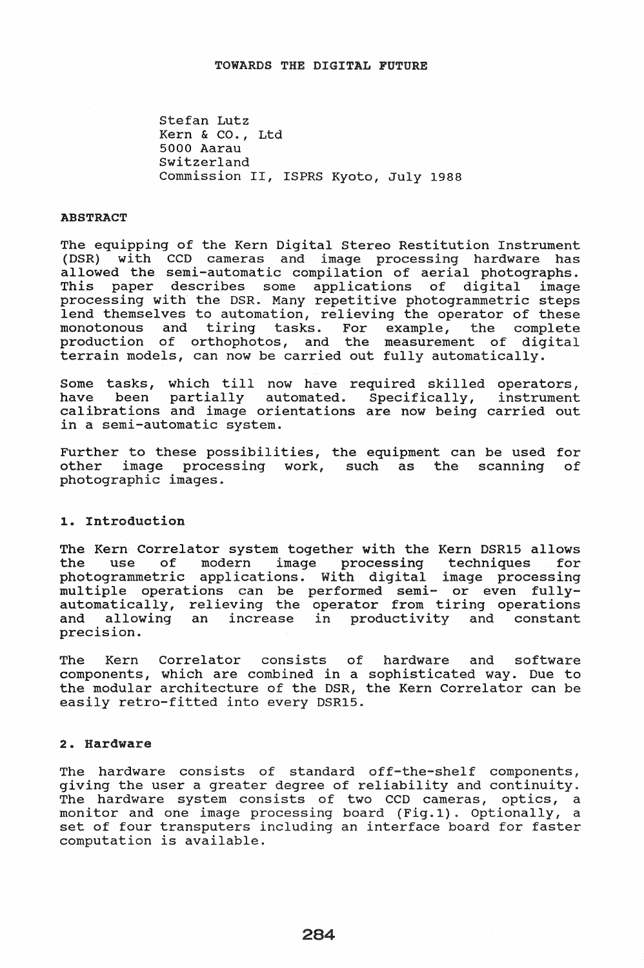stefan Lutz Kern & CO., Ltd **5000** Aarau switzerland Commission II, ISPRS Kyoto, July 1988

### ABSTRACT

The equipping of the Kern Digital stereo Restitution Instrument (DSR) with CCO cameras and image processing hardware has allowed the semi-automatic compilation of aerial photographs.<br>This paper describes some applications of digital image paper describes some applications of digital image processing with the DSR. Many repetitive photogrammetric steps lend themselves to automation, relieving the operator of these monotonous and tiring tasks. For example, the complete production of orthophotos, and the measurement of digital terrain models, can now be carried out fully automatically.

Some tasks, which till now have required skilled operators, have been partially automated. Specifically, instrument calibrations and image orientations are now being carried out in a semi-automatic system.

Further to these possibilities, the equipment can be used for<br>other image processing work, such as the scanning of other image processing work, such as the scanning photographic images.

#### 1. Introduction

The Kern Correlator system together with the Kern DSR15 allows<br>the use of modern image processing techniques for the use of modern image processing techniques for photogrammetric applications. with digital image processing multiple operations can be performed semi- or even fullyautomatically, relieving the operator from tiring operations<br>and allowing an increase in productivity and constant allowing an increase in productivity and precision.

The Kern Correlator consists of hardware and software components, which are combined in a sophisticated way. Due to the modular architecture of the DSR, the Kern Correlator can be easily retro-fitted into every DSRI5.

#### 2. Hardware

The hardware consists of standard off-the-shelf components, giving the user a greater degree of reliability and continuity. The hardware system consists of two CCO cameras, optics, a monitor and one image processing board (Fig.1). Optionally, a set of four transputers including an interface board for faster computation is available.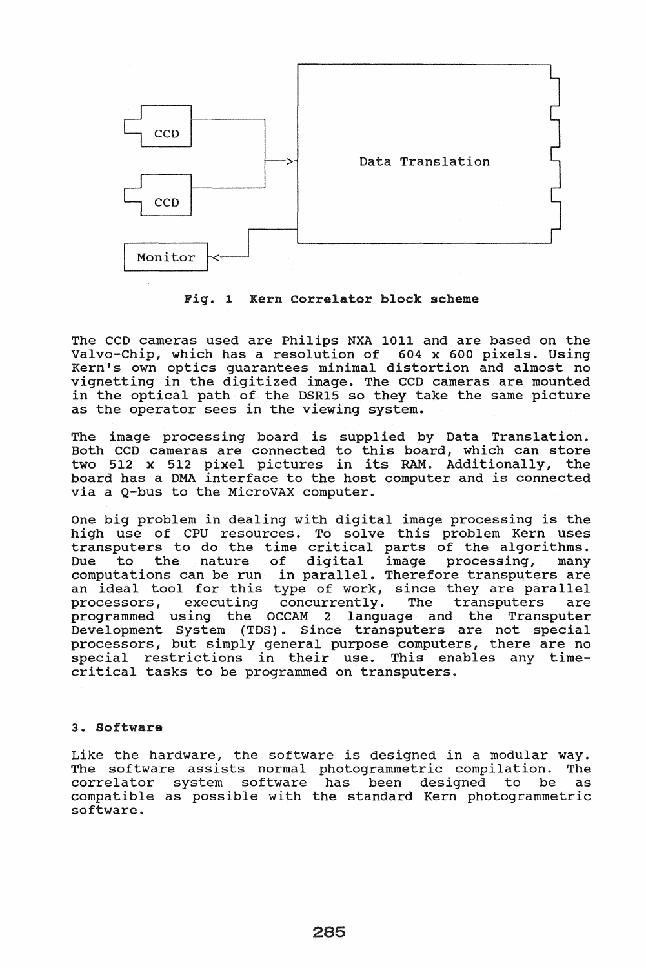

Fig. 1 Kern Correlator block scheme

The CCD cameras used are Philips NXA 1011 and are based on the Valvo-Chip, which has a resolution of 604 x 600 pixels. Using Kern's own optics guarantees minimal distortion and almost no vignetting in the digitized image. The CCD cameras are mounted in the optical path of the DSR15 so they take the same picture as the operator sees in the viewing system.

The image processing board is supplied by Data Translation. Inc Image processing sourd is supprice by been framination. two 512 x 512 pixel pictures in its RAM.. Additionally, the board has a DMA interface to the host computer and is connected via a Q-bus to the MicroVAX computer.

One big problem in dealing with digital image processing is the high use of CPU resources. To solve this problem Kern uses transputers to do the time critical parts of the algorithms. Due to the nature of digital image processing, many computations can be run in parallel. Therefore transputers are an ideal tool for this type of work, since they are parallel<br>processors, executing concurrently. The transputers are executing concurrently. The transputers are programmed using the OCCAM 2 language and the Transputer Development System (TDS). Since transputers are not special processors, but simply general purpose computers, there are no special restrictions in their use. This enables any timecritical tasks to be programmed on transputers.

# 3 .. Software

Like the hardware, the software is designed in a modular way.<br>The software assists normal photogrammetric compilation. The The software assists normal photogrammetric compilation. correlator system software has been designed to be as compatible as possible with the standard Kern photogrammetric software.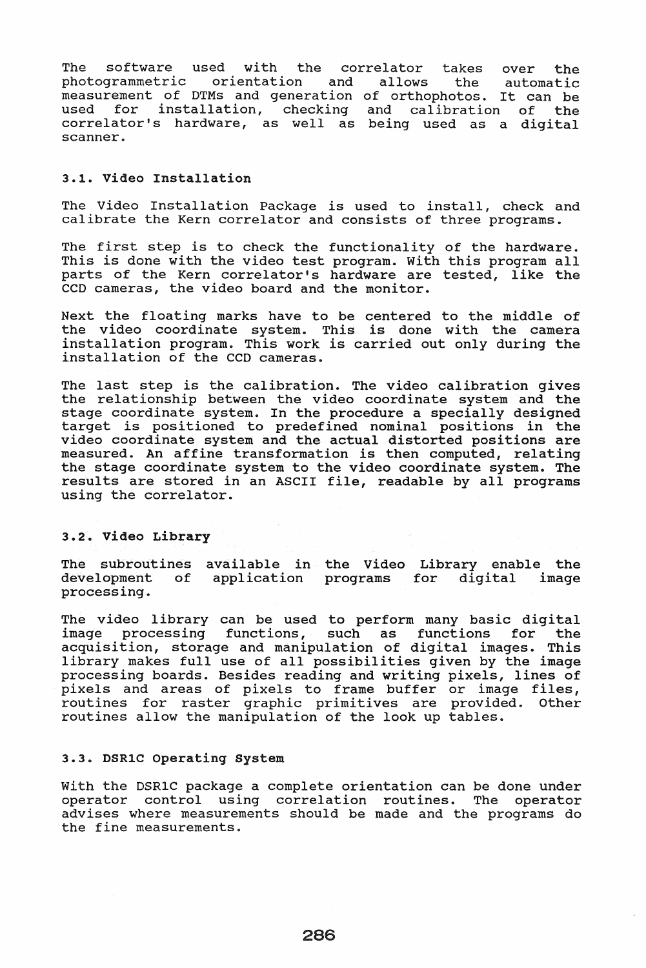The software used with the correlator takes over the<br>photogrammetric orientation and allows the automatic photogrammetric orientation and allows measurement of DTMs and generation of orthophotos. It can be modod smokes of sine and generators or erememodes: it can be abed for installation, encoming and calibration of the<br>correlator's hardware, as well as being used as a digital scanner.

#### 3.1. Video Installation

The Video Installation Package is used to install, check and calibrate the Kern correlator and consists of three programs.

The first step is to check the functionality of the hardware. This is done with the video test program. with this program all parts of the Kern correlator's hardware are tested, like the CCD cameras, the video board and the monitor.

Next the floating marks have to be centered to the middle of the video coordinate system. This is done with the camera installation program. This work is carried out only during the installation of the CCD cameras.

The last step is the calibration. The video calibration gives the relationship between the video coordinate system and the stage coordinate system. In the procedure a specially designed stage cooldinate system. In the procedure a specially designed<br>target is positioned to predefined nominal positions in the video coordinate system and the actual distorted positions are measured. An affine transformation is then computed, relating the stage coordinate system to the video coordinate system. The results are stored in an ASCII file, readable by all programs using the correlator.

# 3.2. Video Library

The subroutines available in the Video Library enable the development of application programs for digital image processing.

The video library can be used to perform many basic digital image processing functions, such as functions for the acquisition, storage and manipulation of digital images. This library makes full use of all possibilities given by the image processing boards. Besides reading and writing pixels, lines of processing searas: sesides redding and writing pixers, fines of<br>pixels and areas of pixels to frame buffer or image files, routines for raster graphic primitives are provided. Other routines allow the manipulation of the look up tables.

#### 3.3. DSR1C operating system

with the DSRIC package a complete orientation can be done under operator control using correlation routines. The operator advises where measurements should be made and the programs do the fine measurements.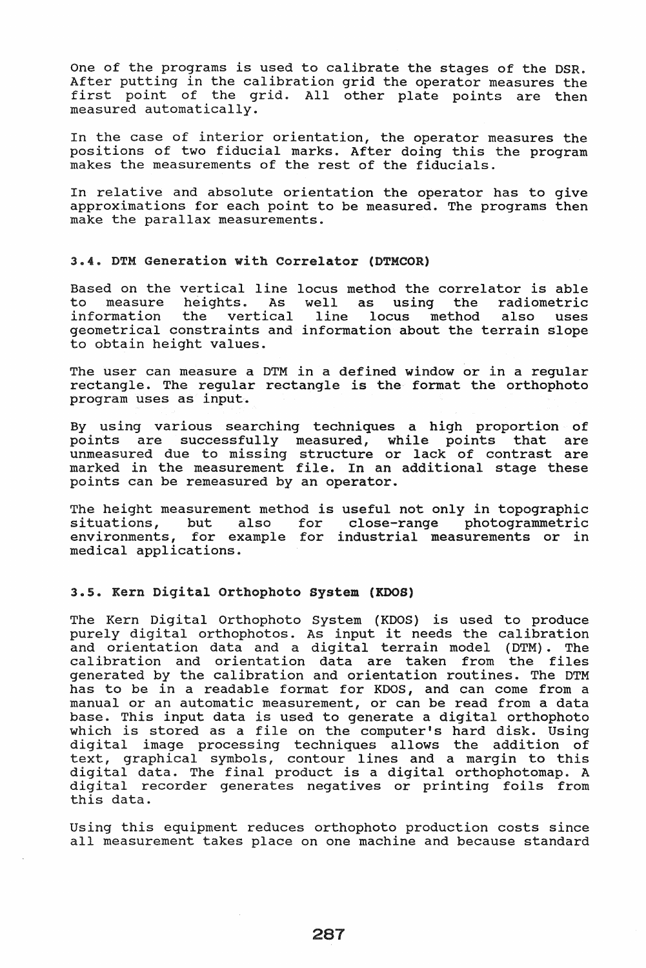One of the programs is used to calibrate the stages of the DSR. After putting in the calibration grid the operator measures the first point of the grid. All other plate points are then measured automatically.

In the case of interior orientation, the operator measures the positions of two fiducial marks. After doing this the program makes the measurements of the rest of the fiducials.

In relative and absolute orientation the operator has to give approximations for each point to be measured. The programs then make the parallax measurements.

### 3.4. DTH Generation with Correlator (DTHCOR)

Based on the vertical line locus method the correlator is able<br>to measure heights. As well as using the radiometric to measure heights. As well as using the radiometric<br>information the vertical line locus method also uses line locus method also uses geometrical constraints and information about the terrain slope to obtain height values.

The user can measure a DTM in a defined window or in a regular rectangle. The regular rectangle is the format the orthophoto program uses as input.

By using various searching techniques a high proportion of points are successfully measured, while points that are points are successfully measured, while points unmeasured due to missing structure or lack of contrast are marked in the measurement file. In an additional stage these points can be remeasured by an operator.

The height measurement method is useful not only in topographic<br>situations, but also for close-range photogrammetric situations, but environments, for example for industrial measurements or in medical applications ..

### 3.S. Kern Digital Orthophoto system (KDOS)

The Kern Digital Orthophoto System (KDOS) is used to produce purely digital orthophotos. As input it needs the calibration and orientation data and a digital terrain model (DTM). The calibration and orientation data are taken from the files generated by the calibration and orientation routines. The DTM has to be in a readable format for KDOS, and can come from a manual or an automatic measurement, or can be read from a data base. This input data is used to generate a digital orthophoto which is stored as a file on the computer's hard disk. Using digital image processing techniques allows the addition of text, graphical symbols, contour lines and a margin to this digital data. The final product is a digital orthophotomap. A digital recorder generates negatives or printing foils from this data.

Using this equipment reduces orthophoto production costs since all measurement takes place on one machine and because standard